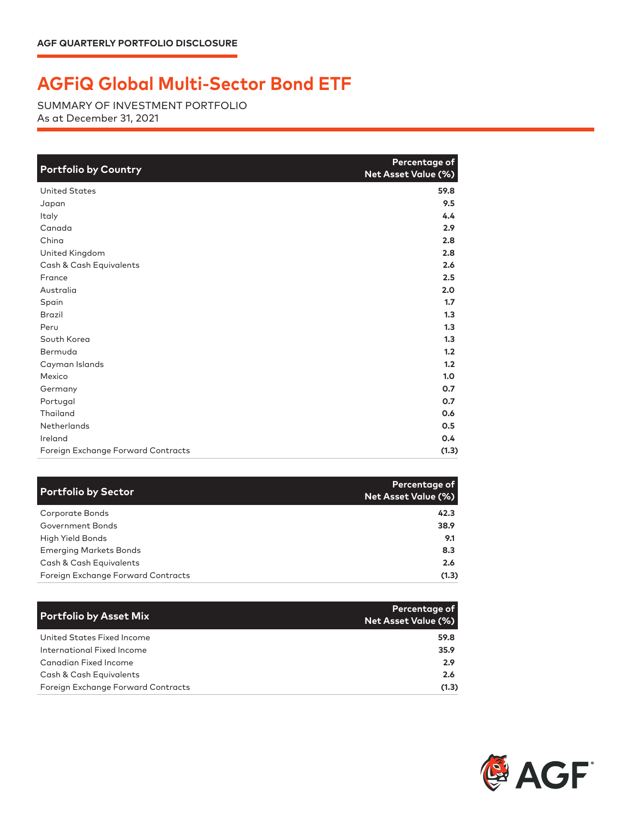## **AGFiQ Global Multi-Sector Bond ETF**

SUMMARY OF INVESTMENT PORTFOLIO As at December 31, 2021

| <b>Portfolio by Country</b>        | Percentage of<br>Net Asset Value (%) |
|------------------------------------|--------------------------------------|
| <b>United States</b>               | 59.8                                 |
| Japan                              | 9.5                                  |
| Italy                              | 4.4                                  |
| Canada                             | 2.9                                  |
| China                              | 2.8                                  |
| United Kingdom                     | 2.8                                  |
| Cash & Cash Equivalents            | 2.6                                  |
| France                             | 2.5                                  |
| Australia                          | 2.0                                  |
| Spain                              | 1.7                                  |
| <b>Brazil</b>                      | 1.3                                  |
| Peru                               | 1.3                                  |
| South Korea                        | 1.3                                  |
| Bermuda                            | 1.2                                  |
| Cayman Islands                     | 1.2                                  |
| Mexico                             | 1.0                                  |
| Germany                            | 0.7                                  |
| Portugal                           | 0.7                                  |
| Thailand                           | 0.6                                  |
| Netherlands                        | 0.5                                  |
| Ireland                            | 0.4                                  |
| Foreign Exchange Forward Contracts | (1.3)                                |

| <b>Portfolio by Sector</b>         | Percentage of<br><b>Net Asset Value (%)</b> |
|------------------------------------|---------------------------------------------|
| Corporate Bonds                    | 42.3                                        |
| Government Bonds                   | 38.9                                        |
| High Yield Bonds                   | 9.1                                         |
| <b>Emerging Markets Bonds</b>      | 8.3                                         |
| Cash & Cash Equivalents            | 2.6                                         |
| Foreign Exchange Forward Contracts | (1.3)                                       |

| <b>Portfolio by Asset Mix</b>      | Percentage of<br><b>Net Asset Value (%)</b> |
|------------------------------------|---------------------------------------------|
| United States Fixed Income         | 59.8                                        |
| International Fixed Income         | 35.9                                        |
| Canadian Fixed Income              | 2.9                                         |
| Cash & Cash Equivalents            | 2.6                                         |
| Foreign Exchange Forward Contracts | (1.3)                                       |